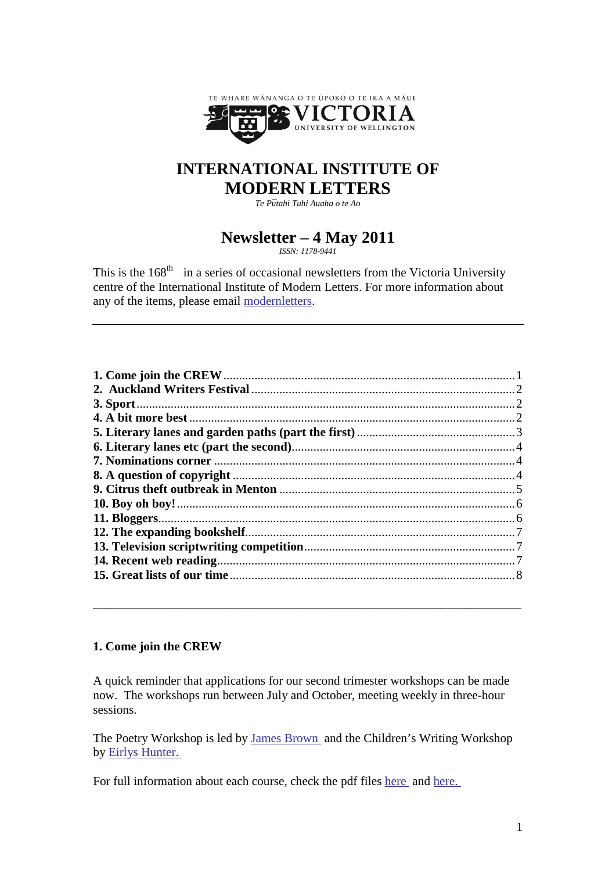

# **INTERNATIONAL INSTITUTE OF MODERN LETTERS**

*Te P¯utahi Tuhi Auaha o te Ao*

# **Newsletter – 4 May 2011**

*ISSN: 1178-9441*

This is the  $168<sup>th</sup>$  in a series of occasional newsletters from the Victoria University centre of the International Institute of Modern Letters. For more information about any of the items, please email [modernletters.](mailto:modernletters@vuw.ac.nz)

# <span id="page-0-0"></span>**1. Come join the CREW**

A quick reminder that applications for our second trimester workshops can be made now. The workshops run between July and October, meeting weekly in three-hour sessions.

\_\_\_\_\_\_\_\_\_\_\_\_\_\_\_\_\_\_\_\_\_\_\_\_\_\_\_\_\_\_\_\_\_\_\_\_\_\_\_\_\_\_\_\_\_\_\_\_\_\_\_\_\_\_\_\_\_\_\_\_\_\_\_\_\_\_\_\_\_

The Poetry Workshop is led by [James Brown](http://www.victoria.ac.nz/vup/authorinfo/jbrown.aspx) and the Children's Writing Workshop by [Eirlys Hunter.](http://www.bookcouncil.org.nz/writers/huntereirlys.html)

For full information about each course, check the pdf files [here](http://www.victoria.ac.nz/modernletters/courses/CREW-253.aspx) and [here.](http://www.victoria.ac.nz/modernletters/courses/CREW-255.aspx)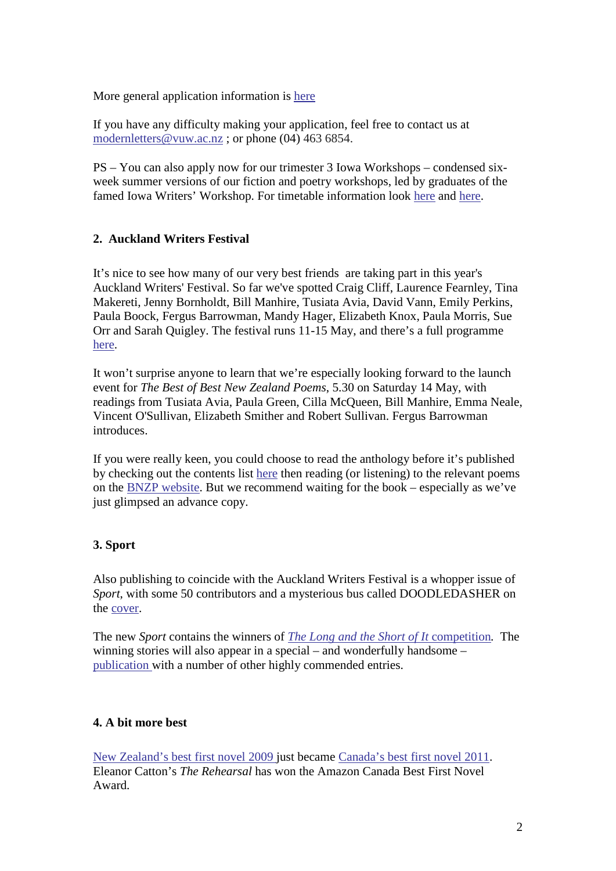More general application information is [here](http://www.victoria.ac.nz/modernletters/student-help/how-to-apply.aspx#undergrad)

If you have any difficulty making your application, feel free to contact us at [modernletters@vuw.ac.nz](mailto:modernletters@vuw.ac.nz); or phone (04) 463 6854.

PS – You can also apply now for our trimester 3 Iowa Workshops – condensed sixweek summer versions of our fiction and poetry workshops, led by graduates of the famed Iowa Writers' Workshop. For timetable information look [here](http://www.victoria.ac.nz/modernletters/courses/CREW-258.aspx) and [here.](http://www.victoria.ac.nz/modernletters/courses/CREW-259.aspx)

### <span id="page-1-0"></span>**2. Auckland Writers Festival**

It's nice to see how many of our very best friends are taking part in this year's Auckland Writers' Festival. So far we've spotted Craig Cliff, Laurence Fearnley, Tina Makereti, Jenny Bornholdt, Bill Manhire, Tusiata Avia, David Vann, Emily Perkins, Paula Boock, Fergus Barrowman, Mandy Hager, Elizabeth Knox, Paula Morris, Sue Orr and Sarah Quigley. The festival runs 11-15 May, and there's a full programme [here.](http://www.writersfestival.co.nz/Home/Programme.aspx)

It won't surprise anyone to learn that we're especially looking forward to the launch event for *The Best of Best New Zealand Poems*, 5.30 on Saturday 14 May, with readings from Tusiata Avia, Paula Green, Cilla McQueen, Bill Manhire, Emma Neale, Vincent O'Sullivan, Elizabeth Smither and Robert Sullivan. Fergus Barrowman introduces.

If you were really keen, you could choose to read the anthology before it's published by checking out the contents list [here](http://www.victoria.ac.nz/vup/2011titleinformation/bestofbest.aspx) then reading (or listening) to the relevant poems on the [BNZP website.](http://www.victoria.ac.nz/bestnzpoems) But we recommend waiting for the book – especially as we've just glimpsed an advance copy.

# <span id="page-1-1"></span>**3. Sport**

Also publishing to coincide with the Auckland Writers Festival is a whopper issue of *Sport*, with some 50 contributors and a mysterious bus called DOODLEDASHER on the [cover.](http://yfrog.com/h8hbwmp)

The new *Sport* contains the winners of *[The Long and the Short of It](http://www.unitybooks.co.nz/?s1=competitions)* competition*.* The winning stories will also appear in a special – and wonderfully handsome – [publication w](http://yfrog.com/h4ekepp)ith a number of other highly commended entries.

#### <span id="page-1-2"></span>**4. A bit more best**

[New Zealand's best first novel 2009 j](http://www.victoria.ac.nz/vup/2008titleinformation/rehearsal.aspx)ust became [Canada's best first novel 2011.](http://www.cbc.ca/news/arts/story/2011/04/29/amazon-first-novel-catton-rehearsal.html) Eleanor Catton's *The Rehearsal* has won the Amazon Canada Best First Novel Award.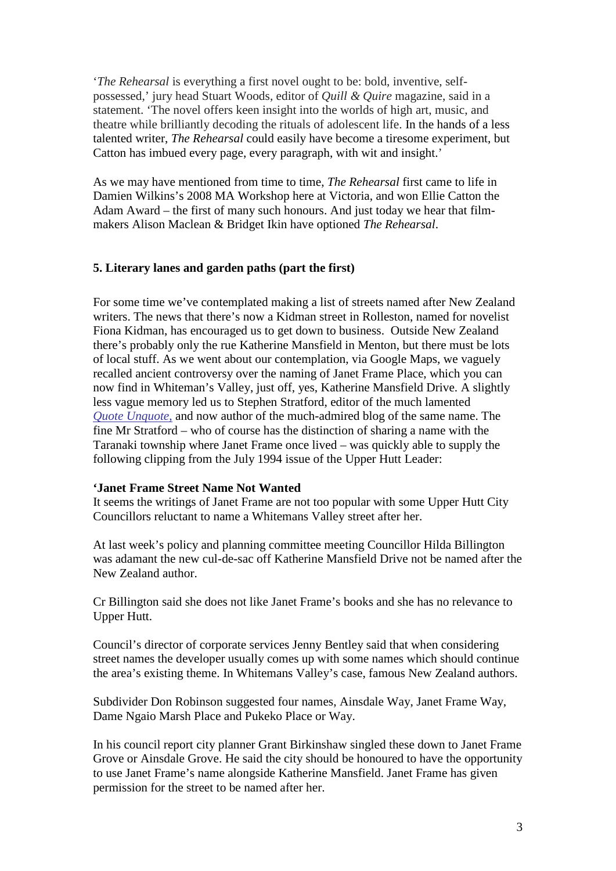'*The Rehearsal* is everything a first novel ought to be: bold, inventive, selfpossessed,' jury head Stuart Woods, editor of *Quill & Quire* magazine, said in a statement. 'The novel offers keen insight into the worlds of high art, music, and theatre while brilliantly decoding the rituals of adolescent life. In the hands of a less talented writer, *The Rehearsal* could easily have become a tiresome experiment, but Catton has imbued every page, every paragraph, with wit and insight.'

As we may have mentioned from time to time, *The Rehearsal* first came to life in Damien Wilkins's 2008 MA Workshop here at Victoria, and won Ellie Catton the Adam Award – the first of many such honours. And just today we hear that filmmakers Alison Maclean & Bridget Ikin have optioned *The Rehearsal*.

#### <span id="page-2-0"></span>**5. Literary lanes and garden paths (part the first)**

For some time we've contemplated making a list of streets named after New Zealand writers. The news that there's now a Kidman street in Rolleston, named for novelist Fiona Kidman, has encouraged us to get down to business. Outside New Zealand there's probably only the rue Katherine Mansfield in Menton, but there must be lots of local stuff. As we went about our contemplation, via Google Maps, we vaguely recalled ancient controversy over the naming of Janet Frame Place, which you can now find in Whiteman's Valley, just off, yes, Katherine Mansfield Drive. A slightly less vague memory led us to Stephen Stratford, editor of the much lamented *[Quote Unquote](http://quoteunquotenz.blogspot.com/)*, and now author of the much-admired blog of the same name. The fine Mr Stratford – who of course has the distinction of sharing a name with the Taranaki township where Janet Frame once lived – was quickly able to supply the following clipping from the July 1994 issue of the Upper Hutt Leader:

#### **'Janet Frame Street Name Not Wanted**

It seems the writings of Janet Frame are not too popular with some Upper Hutt City Councillors reluctant to name a Whitemans Valley street after her.

At last week's policy and planning committee meeting Councillor Hilda Billington was adamant the new cul-de-sac off Katherine Mansfield Drive not be named after the New Zealand author.

Cr Billington said she does not like Janet Frame's books and she has no relevance to Upper Hutt.

Council's director of corporate services Jenny Bentley said that when considering street names the developer usually comes up with some names which should continue the area's existing theme. In Whitemans Valley's case, famous New Zealand authors.

Subdivider Don Robinson suggested four names, Ainsdale Way, Janet Frame Way, Dame Ngaio Marsh Place and Pukeko Place or Way.

In his council report city planner Grant Birkinshaw singled these down to Janet Frame Grove or Ainsdale Grove. He said the city should be honoured to have the opportunity to use Janet Frame's name alongside Katherine Mansfield. Janet Frame has given permission for the street to be named after her.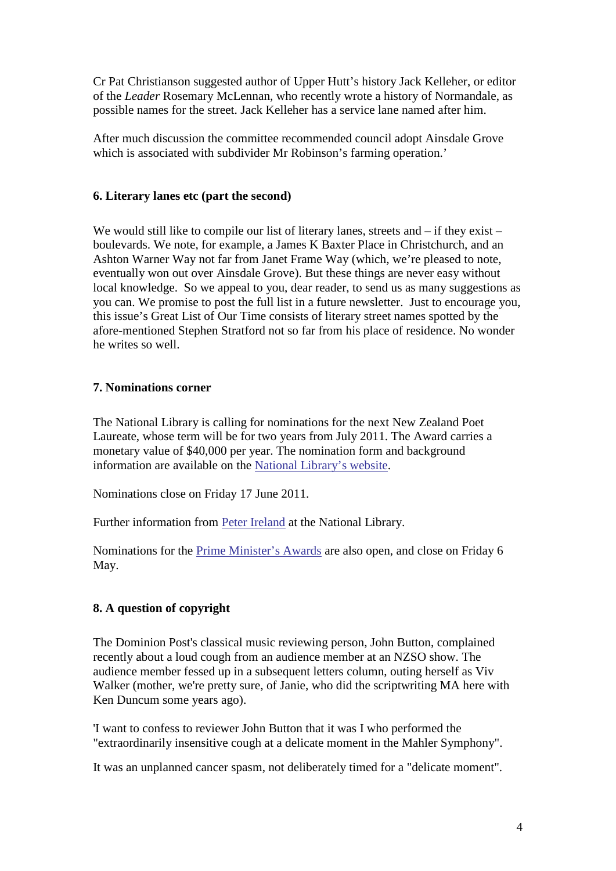Cr Pat Christianson suggested author of Upper Hutt's history Jack Kelleher, or editor of the *Leader* Rosemary McLennan, who recently wrote a history of Normandale, as possible names for the street. Jack Kelleher has a service lane named after him.

After much discussion the committee recommended council adopt Ainsdale Grove which is associated with subdivider Mr Robinson's farming operation.'

### <span id="page-3-0"></span>**6. Literary lanes etc (part the second)**

We would still like to compile our list of literary lanes, streets and – if they exist – boulevards. We note, for example, a James K Baxter Place in Christchurch, and an Ashton Warner Way not far from Janet Frame Way (which, we're pleased to note, eventually won out over Ainsdale Grove). But these things are never easy without local knowledge. So we appeal to you, dear reader, to send us as many suggestions as you can. We promise to post the full list in a future newsletter. Just to encourage you, this issue's Great List of Our Time consists of literary street names spotted by the afore-mentioned Stephen Stratford not so far from his place of residence. No wonder he writes so well.

# <span id="page-3-1"></span>**7. Nominations corner**

The National Library is calling for nominations for the next New Zealand Poet Laureate, whose term will be for two years from July 2011. The Award carries a monetary value of \$40,000 per year. The nomination form and background information are available on the [National Library's website.](http://www.natlib.govt.nz/poetlaureate)

Nominations close on Friday 17 June 2011.

Further information from [Peter Ireland](mailto:peter.ireland@dia.govt.nz) at the National Library.

Nominations for the [Prime Minister's Awards](http://bit.ly/korc50) are also open, and close on Friday 6 May.

# <span id="page-3-2"></span>**8. A question of copyright**

The Dominion Post's classical music reviewing person, John Button, complained recently about a loud cough from an audience member at an NZSO show. The audience member fessed up in a subsequent letters column, outing herself as Viv Walker (mother, we're pretty sure, of Janie, who did the scriptwriting MA here with Ken Duncum some years ago).

'I want to confess to reviewer John Button that it was I who performed the "extraordinarily insensitive cough at a delicate moment in the Mahler Symphony".

It was an unplanned cancer spasm, not deliberately timed for a "delicate moment".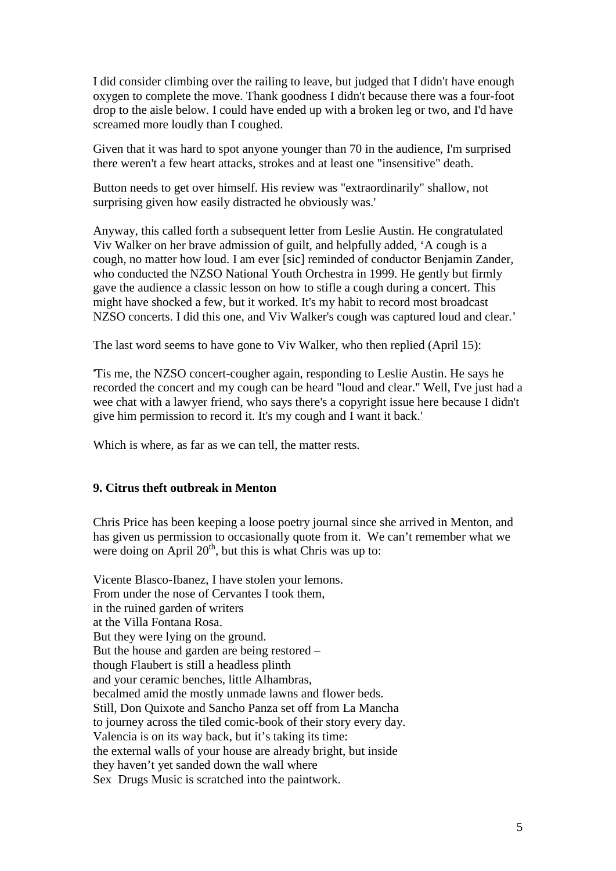I did consider climbing over the railing to leave, but judged that I didn't have enough oxygen to complete the move. Thank goodness I didn't because there was a four-foot drop to the aisle below. I could have ended up with a broken leg or two, and I'd have screamed more loudly than I coughed.

Given that it was hard to spot anyone younger than 70 in the audience, I'm surprised there weren't a few heart attacks, strokes and at least one "insensitive" death.

Button needs to get over himself. His review was "extraordinarily" shallow, not surprising given how easily distracted he obviously was.'

Anyway, this called forth a subsequent letter from Leslie Austin. He congratulated Viv Walker on her brave admission of guilt, and helpfully added, 'A cough is a cough, no matter how loud. I am ever [sic] reminded of conductor Benjamin Zander, who conducted the NZSO National Youth Orchestra in 1999. He gently but firmly gave the audience a classic lesson on how to stifle a cough during a concert. This might have shocked a few, but it worked. It's my habit to record most broadcast NZSO concerts. I did this one, and Viv Walker's cough was captured loud and clear.'

The last word seems to have gone to Viv Walker, who then replied (April 15):

'Tis me, the NZSO concert-cougher again, responding to Leslie Austin. He says he recorded the concert and my cough can be heard "loud and clear." Well, I've just had a wee chat with a lawyer friend, who says there's a copyright issue here because I didn't give him permission to record it. It's my cough and I want it back.'

Which is where, as far as we can tell, the matter rests.

#### <span id="page-4-0"></span>**9. Citrus theft outbreak in Menton**

Chris Price has been keeping a loose poetry journal since she arrived in Menton, and has given us permission to occasionally quote from it. We can't remember what we were doing on April  $20<sup>th</sup>$ , but this is what Chris was up to:

Vicente Blasco-Ibanez, I have stolen your lemons. From under the nose of Cervantes I took them, in the ruined garden of writers at the Villa Fontana Rosa. But they were lying on the ground. But the house and garden are being restored – though Flaubert is still a headless plinth and your ceramic benches, little Alhambras, becalmed amid the mostly unmade lawns and flower beds. Still, Don Quixote and Sancho Panza set off from La Mancha to journey across the tiled comic-book of their story every day. Valencia is on its way back, but it's taking its time: the external walls of your house are already bright, but inside they haven't yet sanded down the wall where Sex Drugs Music is scratched into the paintwork.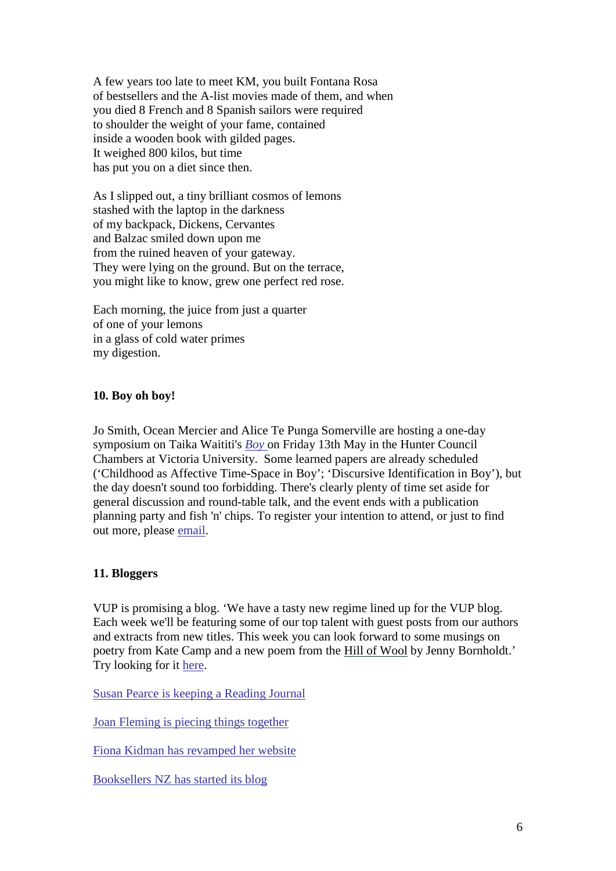A few years too late to meet KM, you built Fontana Rosa of bestsellers and the A-list movies made of them, and when you died 8 French and 8 Spanish sailors were required to shoulder the weight of your fame, contained inside a wooden book with gilded pages. It weighed 800 kilos, but time has put you on a diet since then.

As I slipped out, a tiny brilliant cosmos of lemons stashed with the laptop in the darkness of my backpack, Dickens, Cervantes and Balzac smiled down upon me from the ruined heaven of your gateway. They were lying on the ground. But on the terrace, you might like to know, grew one perfect red rose.

Each morning, the juice from just a quarter of one of your lemons in a glass of cold water primes my digestion.

### <span id="page-5-0"></span>**10. Boy oh boy!**

Jo Smith, Ocean Mercier and Alice Te Punga Somerville are hosting a one-day symposium on Taika Waititi's *[Boy](http://en.wikipedia.org/wiki/Boy_(2010_film))* on Friday 13th May in the Hunter Council Chambers at Victoria University. Some learned papers are already scheduled ('Childhood as Affective Time-Space in Boy'; 'Discursive Identification in Boy'), but the day doesn't sound too forbidding. There's clearly plenty of time set aside for general discussion and round-table talk, and the event ends with a publication planning party and fish 'n' chips. To register your intention to attend, or just to find out more, please [email.](mailto:ocean.mercier@vuw.ac.nz)

### <span id="page-5-1"></span>**11. Bloggers**

VUP is promising a blog. 'We have a tasty new regime lined up for the VUP blog. Each week we'll be featuring some of our top talent with guest posts from our authors and extracts from new titles. This week you can look forward to some musings on poetry from Kate Camp and a new poem from the [Hill of Wool](http://www.victoria.ac.nz/vup/2011titleinformation/hillofwool.aspx) by Jenny Bornholdt.' Try looking for it [here.](http://www.victoria.ac.nz/vup/)

Susan [Pearce is keeping a Reading Journal](http://swimmingwithbooks.wordpress.com/)

[Joan Fleming is piecing things together](http://piecetogethertheworldboys.blogspot.com/)

[Fiona Kidman has revamped her website](http://fionakidman.com/)

[Booksellers NZ has started its blog](http://booksellersnz.wordpress.com/)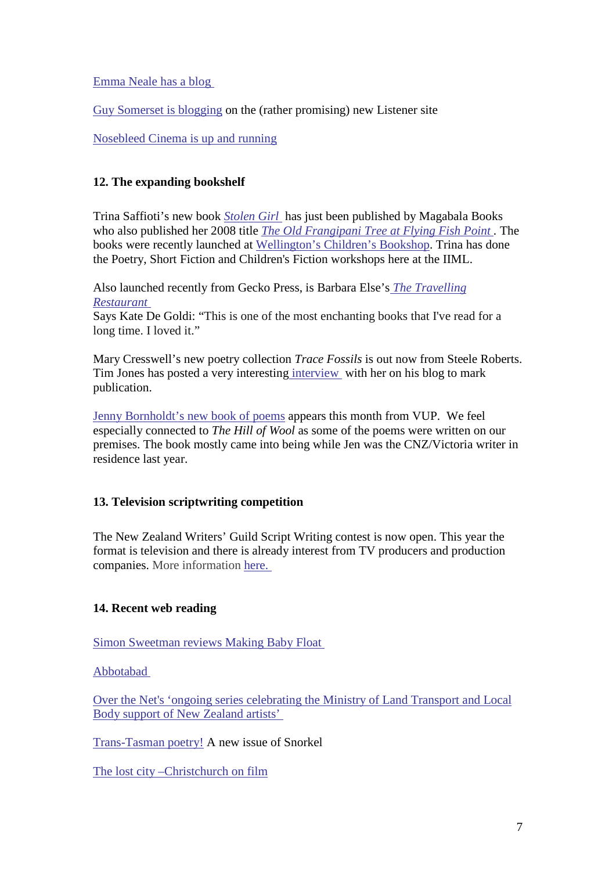[Emma Neale has a blog](http://emmaneale.wordpress.com/) 

[Guy Somerset is blogging](http://www.listener.co.nz/) on the (rather promising) new Listener site

[Nosebleed Cinema is up and running](http://www.nosebleed-cinema.com/)

# <span id="page-6-0"></span>**12. The expanding bookshelf**

Trina Saffioti's new book *[Stolen Girl](http://www.magabala.com/catalog_new/product_info.php?products_id=130)* has just been published by Magabala Books who also published her 2008 title *[The Old Frangipani Tree at Flying Fish Point](http://www.magabala.com/catalog_new/index.php?cPath=8_93_165) .* The books were recently launched at [Wellington's Children's Bookshop.](http://childrensbookshop.netstep.co.nz/) Trina has done the Poetry, Short Fiction and Children's Fiction workshops here at the IIML.

Also launched recently from Gecko Press, is Barbara Else's *[The Travelling](http://www.geckopress.co.nz/Book_Detail_22.aspx?CategoryId=86&pageId=0&ProductId=138)  [Restaurant](http://www.geckopress.co.nz/Book_Detail_22.aspx?CategoryId=86&pageId=0&ProductId=138)*

Says Kate De Goldi: "This is one of the most enchanting books that I've read for a long time. I loved it."

Mary Cresswell's new poetry collection *Trace Fossils* is out now from Steele Roberts. Tim Jones has posted a very interesting [interview](http://timjonesbooks.blogspot.com/2011/03/interview-with-mary-cresswell.html) with her on his blog to mark publication.

[Jenny Bornholdt's new book of poems](http://www.victoria.ac.nz/vup/2011titleinformation/hillofwool.aspx) appears this month from VUP. We feel especially connected to *The Hill of Wool* as some of the poems were written on our premises. The book mostly came into being while Jen was the CNZ/Victoria writer in residence last year.

# <span id="page-6-1"></span>**13. Television scriptwriting competition**

The New Zealand Writers' Guild Script Writing contest is now open. This year the format is television and there is already interest from TV producers and production companies. More information [here.](http://www.nzwg.org.nz/bulletin-board/competitions/nzwg-television-script-writing-contest-2011-entry-forms-here-open-now/)

# <span id="page-6-2"></span>**14. Recent web reading**

[Simon Sweetman reviews Making Baby Float](http://www.stuff.co.nz/entertainment/blogs/blog-on-the-tracks/4898062/The-best-I-ve-seen-and-heard-in-a-while)

[Abbotabad](http://bit.ly/iuY5Kl) 

[Over the Net's 'ongoing series celebrating the Ministry of Land Transport and Local](http://overthenet.blogspot.com/search/label/on%20the%20road?updated-max=2009-10-27T11%3A59%3A00%2B13%3A00&max-results=20)  [Body support of New Zealand artists'](http://overthenet.blogspot.com/search/label/on%20the%20road?updated-max=2009-10-27T11%3A59%3A00%2B13%3A00&max-results=20) 

[Trans-Tasman poetry!](http://bit.ly/dF2pMh) A new issue of Snorkel

[The lost city –Christchurch on film](http://secondstogo.blogspot.com/2011/05/lost-city-christchurch-on-film.html)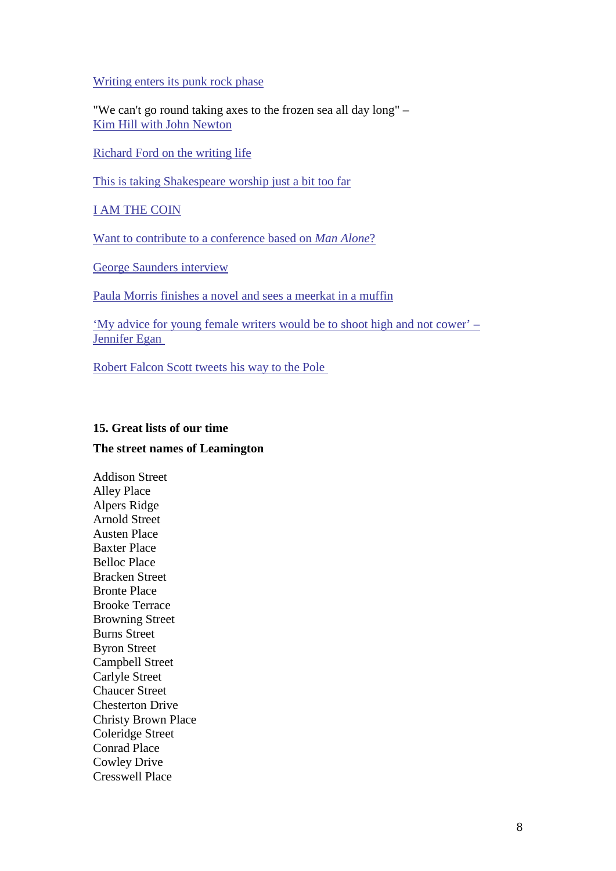[Writing enters its punk rock phase](http://bit.ly/ju9cbc)

"We can't go round taking axes to the frozen sea all day long" – [Kim Hill with John Newton](http://www.radionz.co.nz/national/programmes/saturday/20110430)

[Richard Ford on the writing life](http://bit.ly/lQsI23)

[This is taking Shakespeare worship just a bit too far](http://bit.ly/h3imAv)

[I AM THE COIN](http://iamthecoin.com/)

[Want to contribute to a conference based on](http://bit.ly/j7ty6U) *Man Alone*?

[George Saunders interview](http://bit.ly/fSr8OM)

[Paula Morris finishes a novel and sees a meerkat in a muffin](http://bit.ly/fm4Whn)

'My advice for young [female writers would be to shoot high and not cower' –](http://on.wsj.com/hbuVAj) [Jennifer Egan](http://on.wsj.com/hbuVAj) 

[Robert Falcon Scott tweets his way to the Pole](http://twitter.com/CaptRFScott) 

#### <span id="page-7-0"></span>**15. Great lists of our time**

### **The street names of Leamington**

Addison Street Alley Place Alpers Ridge Arnold Street Austen Place Baxter Place Belloc Place Bracken Street Bronte Place Brooke Terrace Browning Street Burns Street Byron Street Campbell Street Carlyle Street Chaucer Street Chesterton Drive Christy Brown Place Coleridge Street Conrad Place Cowley Drive Cresswell Place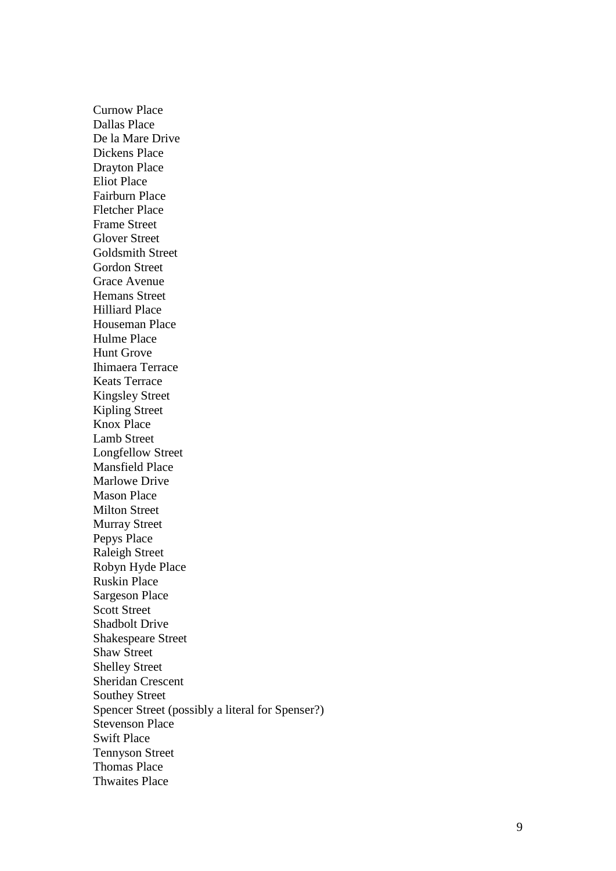Curnow Place Dallas Place De la Mare Drive Dickens Place Drayton Place Eliot Place Fairburn Place Fletcher Place Frame Street Glover Street Goldsmith Street Gordon Street Grace Avenue Hemans Street Hilliard Place Houseman Place Hulme Place Hunt Grove Ihimaera Terrace Keats Terrace Kingsley Street Kipling Street Knox Place Lamb Street Longfellow Street Mansfield Place Marlowe Drive Mason Place Milton Street Murray Street Pepys Place Raleigh Street Robyn Hyde Place Ruskin Place Sargeson Place Scott Street Shadbolt Drive Shakespeare Street Shaw Street Shelley Street Sheridan Crescent Southey Street Spencer Street (possibly a literal for Spenser?) Stevenson Place Swift Place Tennyson Street Thomas Place Thwaites Place